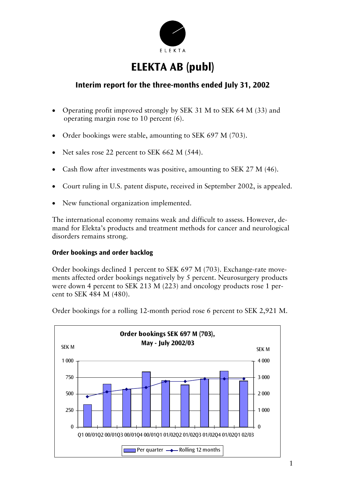

# **ELEKTA AB (publ)**

## **Interim report for the three-months ended July 31, 2002**

- Operating profit improved strongly by SEK 31 M to SEK 64 M (33) and operating margin rose to 10 percent (6).
- Order bookings were stable, amounting to SEK 697 M (703).
- Net sales rose 22 percent to SEK 662 M (544).
- Cash flow after investments was positive, amounting to SEK 27 M (46).
- Court ruling in U.S. patent dispute, received in September 2002, is appealed.
- New functional organization implemented.

The international economy remains weak and difficult to assess. However, demand for Elekta's products and treatment methods for cancer and neurological disorders remains strong.

## **Order bookings and order backlog**

Order bookings declined 1 percent to SEK 697 M (703). Exchange-rate movements affected order bookings negatively by 5 percent. Neurosurgery products were down 4 percent to SEK 213 M (223) and oncology products rose 1 percent to SEK 484 M (480).



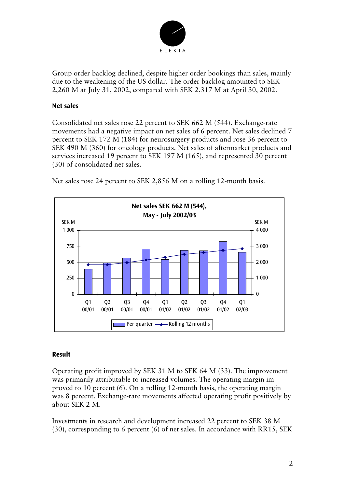

Group order backlog declined, despite higher order bookings than sales, mainly due to the weakening of the US dollar. The order backlog amounted to SEK 2,260 M at July 31, 2002, compared with SEK 2,317 M at April 30, 2002.

## **Net sales**

Consolidated net sales rose 22 percent to SEK 662 M (544). Exchange-rate movements had a negative impact on net sales of 6 percent. Net sales declined 7 percent to SEK 172 M (184) for neurosurgery products and rose 36 percent to SEK 490 M (360) for oncology products. Net sales of aftermarket products and services increased 19 percent to SEK 197 M (165), and represented 30 percent (30) of consolidated net sales.

Net sales rose 24 percent to SEK 2,856 M on a rolling 12-month basis.



## **Result**

Operating profit improved by SEK 31 M to SEK 64 M (33). The improvement was primarily attributable to increased volumes. The operating margin improved to 10 percent (6). On a rolling 12-month basis, the operating margin was 8 percent. Exchange-rate movements affected operating profit positively by about SEK 2 M.

Investments in research and development increased 22 percent to SEK 38 M (30), corresponding to 6 percent (6) of net sales. In accordance with RR15, SEK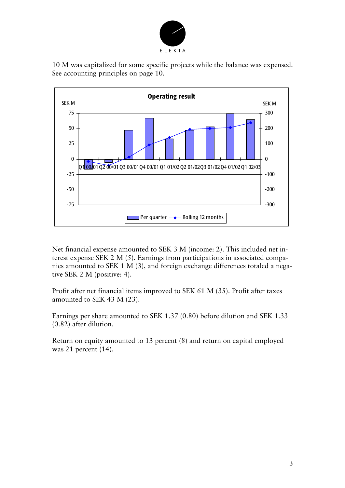

10 M was capitalized for some specific projects while the balance was expensed. See accounting principles on page 10.



Net financial expense amounted to SEK 3 M (income: 2). This included net interest expense SEK 2 M (5). Earnings from participations in associated companies amounted to SEK 1 M (3), and foreign exchange differences totaled a negative SEK 2 M (positive: 4).

Profit after net financial items improved to SEK 61 M (35). Profit after taxes amounted to SEK 43 M (23).

Earnings per share amounted to SEK 1.37 (0.80) before dilution and SEK 1.33 (0.82) after dilution.

Return on equity amounted to 13 percent (8) and return on capital employed was 21 percent (14).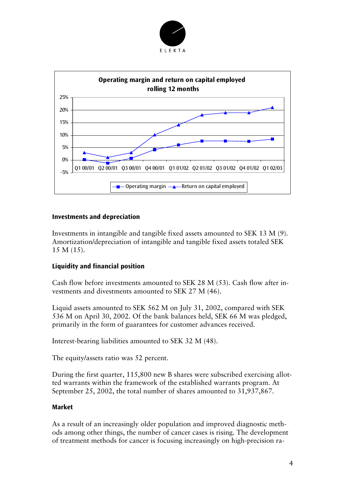



## **Investments and depreciation**

Investments in intangible and tangible fixed assets amounted to SEK 13 M (9). Amortization/depreciation of intangible and tangible fixed assets totaled SEK 15 M (15).

## **Liquidity and financial position**

Cash flow before investments amounted to SEK 28 M (53). Cash flow after investments and divestments amounted to SEK 27 M (46).

Liquid assets amounted to SEK 562 M on July 31, 2002, compared with SEK 536 M on April 30, 2002. Of the bank balances held, SEK 66 M was pledged, primarily in the form of guarantees for customer advances received.

Interest-bearing liabilities amounted to SEK 32 M (48).

The equity/assets ratio was 52 percent.

During the first quarter, 115,800 new B shares were subscribed exercising allotted warrants within the framework of the established warrants program. At September 25, 2002, the total number of shares amounted to 31,937,867.

## **Market**

As a result of an increasingly older population and improved diagnostic methods among other things, the number of cancer cases is rising. The development of treatment methods for cancer is focusing increasingly on high-precision ra-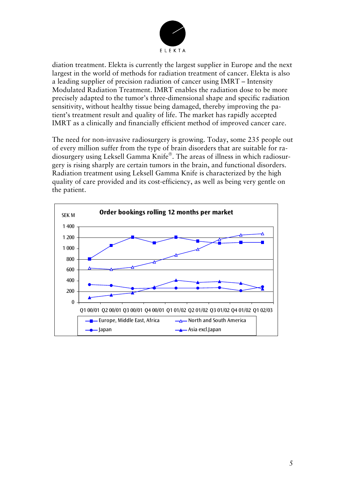

diation treatment. Elekta is currently the largest supplier in Europe and the next largest in the world of methods for radiation treatment of cancer. Elekta is also a leading supplier of precision radiation of cancer using IMRT – Intensity Modulated Radiation Treatment. IMRT enables the radiation dose to be more precisely adapted to the tumor's three-dimensional shape and specific radiation sensitivity, without healthy tissue being damaged, thereby improving the patient's treatment result and quality of life. The market has rapidly accepted IMRT as a clinically and financially efficient method of improved cancer care.

The need for non-invasive radiosurgery is growing. Today, some 235 people out of every million suffer from the type of brain disorders that are suitable for radiosurgery using Leksell Gamma Knife<sup>®</sup>. The areas of illness in which radiosurgery is rising sharply are certain tumors in the brain, and functional disorders. Radiation treatment using Leksell Gamma Knife is characterized by the high quality of care provided and its cost-efficiency, as well as being very gentle on the patient.

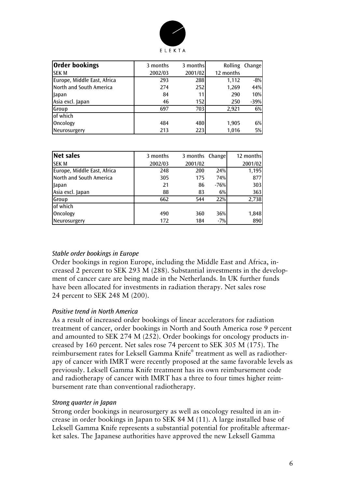

| <b>Order bookings</b>       | 3 months | 3 months | <b>Rolling</b> | Change |
|-----------------------------|----------|----------|----------------|--------|
| <b>SEK M</b>                | 2002/03  | 2001/02  | 12 months      |        |
| Europe, Middle East, Africa | 293      | 288      | 1,112          | $-8%$  |
| North and South America     | 274      | 252      | 1,269          | 44%    |
| Japan                       | 84       | 11       | 290            | 10%    |
| Asia excl. Japan            | 46       | 152      | 250            | -39%   |
| Group                       | 697      | 703      | 2,921          | 6%     |
| of which                    |          |          |                |        |
| Oncology                    | 484      | 480      | 1,905          | 6%     |
| Neurosurgery                | 213      | 223      | 1,016          | 5%     |

| <b>Net sales</b>            | 3 months | 3 months | Change | 12 months |
|-----------------------------|----------|----------|--------|-----------|
| <b>SEK M</b>                | 2002/03  | 2001/02  |        | 2001/02   |
| Europe, Middle East, Africa | 248      | 200      | 24%    | 1,195     |
| North and South America     | 305      | 175      | 74%    | 877       |
| Japan                       | 21       | 86       | $-76%$ | 303       |
| Asia excl. Japan            | 88       | 83       | 6%     | 363       |
| Group                       | 662      | 544      | 22%    | 2,738     |
| of which                    |          |          |        |           |
| Oncology                    | 490      | 360      | 36%    | 1,848     |
| Neurosurgery                | 172      | 184      | $-7%$  | 890       |

## *Stable order bookings in Europe*

Order bookings in region Europe, including the Middle East and Africa, increased 2 percent to SEK 293 M (288). Substantial investments in the development of cancer care are being made in the Netherlands. In UK further funds have been allocated for investments in radiation therapy. Net sales rose 24 percent to SEK 248 M (200).

## *Positive trend in North America*

As a result of increased order bookings of linear accelerators for radiation treatment of cancer, order bookings in North and South America rose 9 percent and amounted to SEK 274 M (252). Order bookings for oncology products increased by 160 percent. Net sales rose 74 percent to SEK 305 M (175). The reimbursement rates for Leksell Gamma Knife® treatment as well as radiotherapy of cancer with IMRT were recently proposed at the same favorable levels as previously. Leksell Gamma Knife treatment has its own reimbursement code and radiotherapy of cancer with IMRT has a three to four times higher reimbursement rate than conventional radiotherapy.

#### *Strong quarter in Japan*

Strong order bookings in neurosurgery as well as oncology resulted in an increase in order bookings in Japan to SEK 84 M (11). A large installed base of Leksell Gamma Knife represents a substantial potential for profitable aftermarket sales. The Japanese authorities have approved the new Leksell Gamma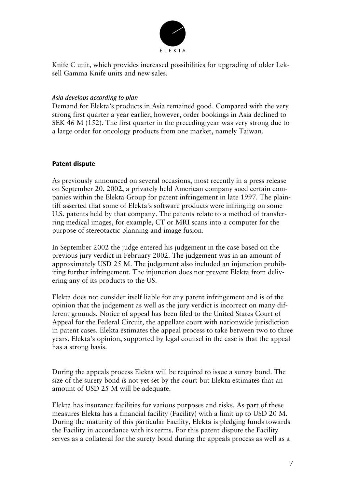

Knife C unit, which provides increased possibilities for upgrading of older Leksell Gamma Knife units and new sales.

## *Asia develops according to plan*

Demand for Elekta's products in Asia remained good. Compared with the very strong first quarter a year earlier, however, order bookings in Asia declined to SEK 46 M (152). The first quarter in the preceding year was very strong due to a large order for oncology products from one market, namely Taiwan.

## **Patent dispute**

As previously announced on several occasions, most recently in a press release on September 20, 2002, a privately held American company sued certain companies within the Elekta Group for patent infringement in late 1997. The plaintiff asserted that some of Elekta's software products were infringing on some U.S. patents held by that company. The patents relate to a method of transferring medical images, for example, CT or MRI scans into a computer for the purpose of stereotactic planning and image fusion.

In September 2002 the judge entered his judgement in the case based on the previous jury verdict in February 2002. The judgement was in an amount of approximately USD 25 M. The judgement also included an injunction prohibiting further infringement. The injunction does not prevent Elekta from delivering any of its products to the US.

Elekta does not consider itself liable for any patent infringement and is of the opinion that the judgement as well as the jury verdict is incorrect on many different grounds. Notice of appeal has been filed to the United States Court of Appeal for the Federal Circuit, the appellate court with nationwide jurisdiction in patent cases. Elekta estimates the appeal process to take between two to three years. Elekta's opinion, supported by legal counsel in the case is that the appeal has a strong basis.

During the appeals process Elekta will be required to issue a surety bond. The size of the surety bond is not yet set by the court but Elekta estimates that an amount of USD 25 M will be adequate.

Elekta has insurance facilities for various purposes and risks. As part of these measures Elekta has a financial facility (Facility) with a limit up to USD 20 M. During the maturity of this particular Facility, Elekta is pledging funds towards the Facility in accordance with its terms. For this patent dispute the Facility serves as a collateral for the surety bond during the appeals process as well as a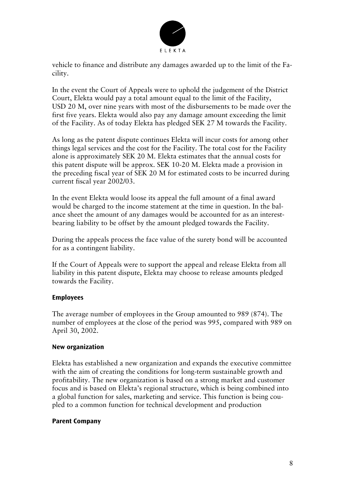

vehicle to finance and distribute any damages awarded up to the limit of the Facility.

In the event the Court of Appeals were to uphold the judgement of the District Court, Elekta would pay a total amount equal to the limit of the Facility, USD 20 M, over nine years with most of the disbursements to be made over the first five years. Elekta would also pay any damage amount exceeding the limit of the Facility. As of today Elekta has pledged SEK 27 M towards the Facility.

As long as the patent dispute continues Elekta will incur costs for among other things legal services and the cost for the Facility. The total cost for the Facility alone is approximately SEK 20 M. Elekta estimates that the annual costs for this patent dispute will be approx. SEK 10-20 M. Elekta made a provision in the preceding fiscal year of SEK 20 M for estimated costs to be incurred during current fiscal year 2002/03.

In the event Elekta would loose its appeal the full amount of a final award would be charged to the income statement at the time in question. In the balance sheet the amount of any damages would be accounted for as an interestbearing liability to be offset by the amount pledged towards the Facility.

During the appeals process the face value of the surety bond will be accounted for as a contingent liability.

If the Court of Appeals were to support the appeal and release Elekta from all liability in this patent dispute, Elekta may choose to release amounts pledged towards the Facility.

## **Employees**

The average number of employees in the Group amounted to 989 (874). The number of employees at the close of the period was 995, compared with 989 on April 30, 2002.

#### **New organization**

Elekta has established a new organization and expands the executive committee with the aim of creating the conditions for long-term sustainable growth and profitability. The new organization is based on a strong market and customer focus and is based on Elekta's regional structure, which is being combined into a global function for sales, marketing and service. This function is being coupled to a common function for technical development and production

#### **Parent Company**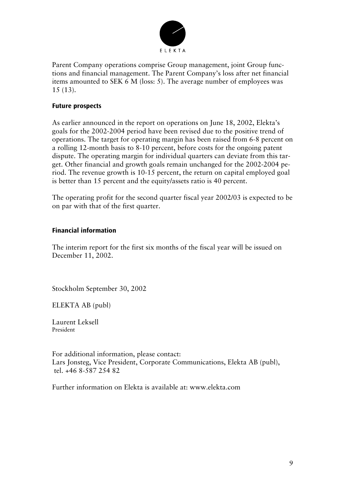

Parent Company operations comprise Group management, joint Group functions and financial management. The Parent Company's loss after net financial items amounted to SEK 6 M (loss: 5). The average number of employees was 15 (13).

## **Future prospects**

As earlier announced in the report on operations on June 18, 2002, Elekta's goals for the 2002-2004 period have been revised due to the positive trend of operations. The target for operating margin has been raised from 6-8 percent on a rolling 12-month basis to 8-10 percent, before costs for the ongoing patent dispute. The operating margin for individual quarters can deviate from this target. Other financial and growth goals remain unchanged for the 2002-2004 period. The revenue growth is 10-15 percent, the return on capital employed goal is better than 15 percent and the equity/assets ratio is 40 percent.

The operating profit for the second quarter fiscal year 2002/03 is expected to be on par with that of the first quarter.

## **Financial information**

The interim report for the first six months of the fiscal year will be issued on December 11, 2002.

Stockholm September 30, 2002

ELEKTA AB (publ)

Laurent Leksell President

For additional information, please contact: Lars Jonsteg, Vice President, Corporate Communications, Elekta AB (publ), tel. +46 8-587 254 82

Further information on Elekta is available at: www.elekta.com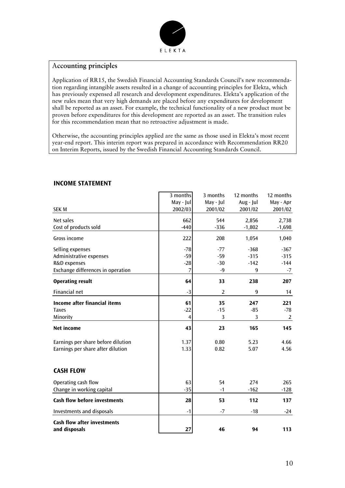

## A**ccounting principles**

Application of RR15, the Swedish Financial Accounting Standards Council's new recommendation regarding intangible assets resulted in a change of accounting principles for Elekta, which has previously expensed all research and development expenditures. Elekta's application of the new rules mean that very high demands are placed before any expenditures for development shall be reported as an asset. For example, the technical functionality of a new product must be proven before expenditures for this development are reported as an asset. The transition rules for this recommendation mean that no retroactive adjustment is made.

Otherwise, the accounting principles applied are the same as those used in Elekta's most recent year-end report. This interim report was prepared in accordance with Recommendation RR20 on Interim Reports, issued by the Swedish Financial Accounting Standards Council.

|                                                     | 3 months       | 3 months       | 12 months | 12 months |
|-----------------------------------------------------|----------------|----------------|-----------|-----------|
|                                                     | May - Jul      | May - Jul      | Aug - Jul | May - Apr |
| <b>SEK M</b>                                        | 2002/03        | 2001/02        | 2001/02   | 2001/02   |
| Net sales                                           | 662            | 544            | 2,856     | 2,738     |
| Cost of products sold                               | $-440$         | $-336$         | $-1,802$  | $-1,698$  |
| Gross income                                        | 222            | 208            | 1,054     | 1,040     |
| Selling expenses                                    | $-78$          | $-77$          | $-368$    | $-367$    |
| Administrative expenses                             | $-59$          | $-59$          | $-315$    | $-315$    |
| R&D expenses                                        | $-28$          | $-30$          | $-142$    | $-144$    |
| Exchange differences in operation                   | 7              | $-9$           | 9         | $-7$      |
| <b>Operating result</b>                             | 64             | 33             | 238       | 207       |
| Financial net                                       | $-3$           | $\overline{2}$ | 9         | 14        |
| <b>Income after financial items</b>                 | 61             | 35             | 247       | 221       |
| <b>Taxes</b>                                        | $-22$          | $-15$          | $-85$     | $-78$     |
| Minority                                            | $\overline{4}$ | 3              | 3         | 2         |
| <b>Net income</b>                                   | 43             | 23             | 165       | 145       |
| Earnings per share before dilution                  | 1.37           | 0.80           | 5.23      | 4.66      |
| Earnings per share after dilution                   | 1.33           | 0.82           | 5.07      | 4.56      |
| <b>CASH FLOW</b>                                    |                |                |           |           |
|                                                     |                |                |           |           |
| Operating cash flow                                 | 63             | 54             | 274       | 265       |
| Change in working capital                           | $-35$          | $-1$           | $-162$    | $-128$    |
| <b>Cash flow before investments</b>                 | 28             | 53             | 112       | 137       |
| <b>Investments and disposals</b>                    | $-1$           | $-7$           | $-18$     | $-24$     |
| <b>Cash flow after investments</b><br>and disposals | 27             | 46             | 94        | 113       |

## **INCOME STATEMENT**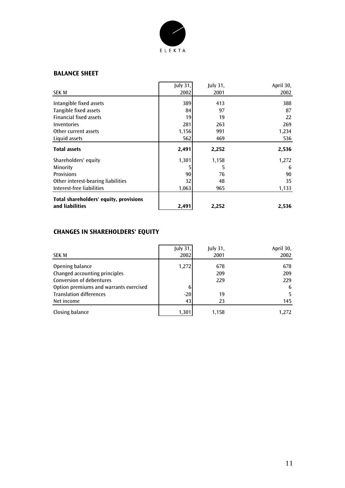

#### **BALANCE SHEET**

| SEK M                                                     | July 31,<br>2002 | July 31,<br>2001 | April 30,<br>2002 |
|-----------------------------------------------------------|------------------|------------------|-------------------|
| Intangible fixed assets                                   | 389              | 413              | 388               |
| Tangible fixed assets                                     | 84               | 97               | 87                |
| <b>Financial fixed assets</b>                             | 19               | 19               | 22                |
| Inventories                                               | 281              | 263              | 269               |
| Other current assets                                      | 1,156            | 991              | 1,234             |
| Liquid assets                                             | 562              | 469              | 536               |
| <b>Total assets</b>                                       | 2,491            | 2,252            | 2,536             |
| Shareholders' equity                                      | 1,301            | 1,158            | 1,272             |
| Minority                                                  | 5                | 5                | 6                 |
| <b>Provisions</b>                                         | 90               | 76               | 90                |
| Other interest-bearing liabilities                        | 32               | 48               | 35                |
| Interest-free liabilities                                 | 1,063            | 965              | 1,133             |
| Total shareholders' equity, provisions<br>and liabilities | 2,491            | 2,252            | 2,536             |

## **CHANGES IN SHAREHOLDERS' EQUITY**

| <b>SEK M</b>                           | <b>July 31,</b><br>2002 | <b>July 31,</b><br>2001 | April 30,<br>2002 |
|----------------------------------------|-------------------------|-------------------------|-------------------|
| Opening balance                        | 1,272                   | 678                     | 678               |
| Changed accounting principles          |                         | 209                     | 209               |
| Conversion of debentures               |                         | 229                     | 229               |
| Option premiums and warrants exercised | 6                       |                         | 6                 |
| <b>Translation differences</b>         | $-20$                   | 19                      | 5                 |
| Net income                             | 43                      | 23                      | 145               |
| Closing balance                        | 1.301                   | 1,158                   | 1,272             |